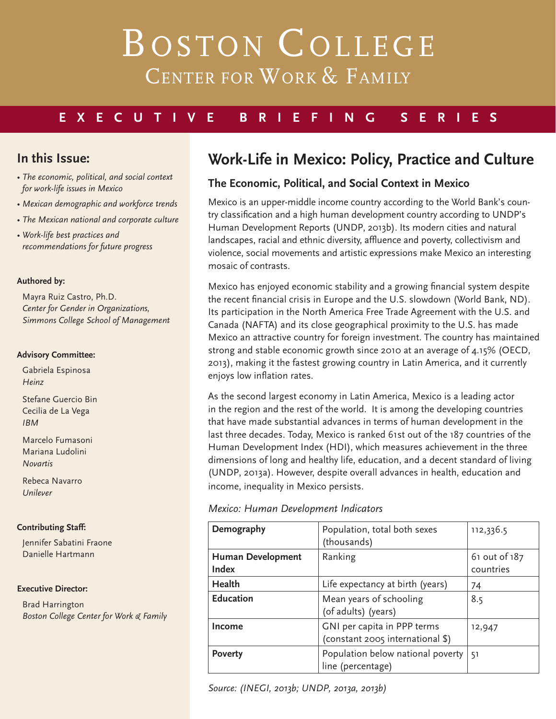# BOSTON COLLEGE CENTER FOR WORK & FAMILY

### **EXECUTIVE BRIEFING SERIES**

### **In this Issue:**

- *The economic, political, and social context for work-life issues in Mexico*
- *Mexican demographic and workforce trends*
- *The Mexican national and corporate culture*
- *Work-life best practices and recommendations for future progress*

#### **Authored by:**

Mayra Ruiz Castro, Ph.D. *Center for Gender in Organizations, Simmons College School of Management*

#### **Advisory Committee:**

Gabriela Espinosa *Heinz*

Stefane Guercio Bin Cecilia de La Vega *IBM*

Marcelo Fumasoni Mariana Ludolini *Novartis*

Rebeca Navarro *Unilever*

#### **Contributing Staff:**

Jennifer Sabatini Fraone Danielle Hartmann

#### **Executive Director:**

Brad Harrington *Boston College Center for Work & Family*

### **Work-Life in Mexico: Policy, Practice and Culture**

#### **The Economic, Political, and Social Context in Mexico**

Mexico is an upper-middle income country according to the World Bank's country classification and a high human development country according to UNDP's Human Development Reports (UNDP, 2013b). Its modern cities and natural landscapes, racial and ethnic diversity, affluence and poverty, collectivism and violence, social movements and artistic expressions make Mexico an interesting mosaic of contrasts.

Mexico has enjoyed economic stability and a growing financial system despite the recent financial crisis in Europe and the U.S. slowdown (World Bank, ND). Its participation in the North America Free Trade Agreement with the U.S. and Canada (NAFTA) and its close geographical proximity to the U.S. has made Mexico an attractive country for foreign investment. The country has maintained strong and stable economic growth since 2010 at an average of 4.15% (OECD, 2013), making it the fastest growing country in Latin America, and it currently enjoys low inflation rates.

As the second largest economy in Latin America, Mexico is a leading actor in the region and the rest of the world. It is among the developing countries that have made substantial advances in terms of human development in the last three decades. Today, Mexico is ranked 61st out of the 187 countries of the Human Development Index (HDI), which measures achievement in the three dimensions of long and healthy life, education, and a decent standard of living (UNDP, 2013a). However, despite overall advances in health, education and income, inequality in Mexico persists.

#### *Mexico: Human Development Indicators*

| Demography                               | Population, total both sexes<br>(thousands)                     | 112,336.5                  |
|------------------------------------------|-----------------------------------------------------------------|----------------------------|
| <b>Human Development</b><br><b>Index</b> | Ranking                                                         | 61 out of 187<br>countries |
| <b>Health</b>                            | Life expectancy at birth (years)                                | 74                         |
| <b>Education</b>                         | Mean years of schooling<br>(of adults) (years)                  | 8.5                        |
| Income                                   | GNI per capita in PPP terms<br>(constant 2005 international \$) | 12,947                     |
| <b>Poverty</b>                           | Population below national poverty<br>line (percentage)          | -51                        |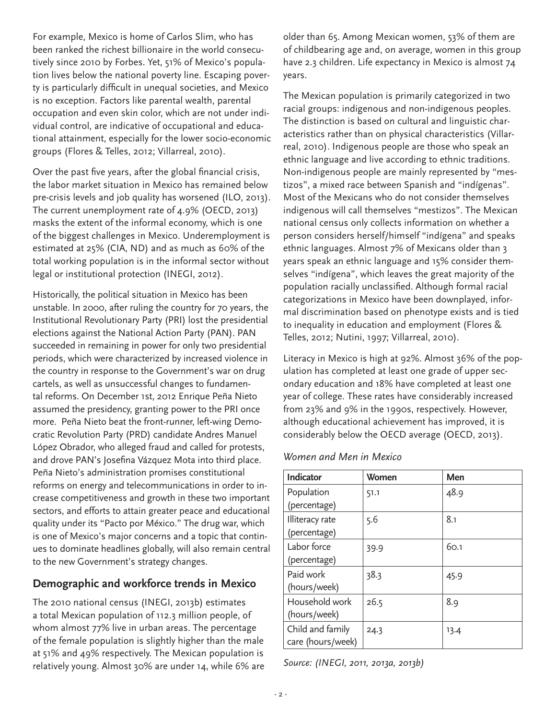For example, Mexico is home of Carlos Slim, who has been ranked the richest billionaire in the world consecutively since 2010 by Forbes. Yet, 51% of Mexico's population lives below the national poverty line. Escaping poverty is particularly difficult in unequal societies, and Mexico is no exception. Factors like parental wealth, parental occupation and even skin color, which are not under individual control, are indicative of occupational and educational attainment, especially for the lower socio-economic groups (Flores & Telles, 2012; Villarreal, 2010).

Over the past five years, after the global financial crisis, the labor market situation in Mexico has remained below pre-crisis levels and job quality has worsened (ILO, 2013). The current unemployment rate of 4.9% (OECD, 2013) masks the extent of the informal economy, which is one of the biggest challenges in Mexico. Underemployment is estimated at 25% (CIA, ND) and as much as 60% of the total working population is in the informal sector without legal or institutional protection (INEGI, 2012).

Historically, the political situation in Mexico has been unstable. In 2000, after ruling the country for 70 years, the Institutional Revolutionary Party (PRI) lost the presidential elections against the National Action Party (PAN). PAN succeeded in remaining in power for only two presidential periods, which were characterized by increased violence in the country in response to the Government's war on drug cartels, as well as unsuccessful changes to fundamental reforms. On December 1st, 2012 Enrique Peña Nieto assumed the presidency, granting power to the PRI once more. Peña Nieto beat the front-runner, left-wing Democratic Revolution Party (PRD) candidate Andres Manuel López Obrador, who alleged fraud and called for protests, and drove PAN's Josefina Vázquez Mota into third place. Peña Nieto's administration promises constitutional reforms on energy and telecommunications in order to increase competitiveness and growth in these two important sectors, and efforts to attain greater peace and educational quality under its "Pacto por México." The drug war, which is one of Mexico's major concerns and a topic that continues to dominate headlines globally, will also remain central to the new Government's strategy changes.

#### **Demographic and workforce trends in Mexico**

The 2010 national census (INEGI, 2013b) estimates a total Mexican population of 112.3 million people, of whom almost 77% live in urban areas. The percentage of the female population is slightly higher than the male at 51% and 49% respectively. The Mexican population is relatively young. Almost 30% are under 14, while 6% are

older than 65. Among Mexican women, 53% of them are of childbearing age and, on average, women in this group have 2.3 children. Life expectancy in Mexico is almost 74 years.

The Mexican population is primarily categorized in two racial groups: indigenous and non-indigenous peoples. The distinction is based on cultural and linguistic characteristics rather than on physical characteristics (Villarreal, 2010). Indigenous people are those who speak an ethnic language and live according to ethnic traditions. Non-indigenous people are mainly represented by "mestizos", a mixed race between Spanish and "indígenas". Most of the Mexicans who do not consider themselves indigenous will call themselves "mestizos". The Mexican national census only collects information on whether a person considers herself/himself "indígena" and speaks ethnic languages. Almost 7% of Mexicans older than 3 years speak an ethnic language and 15% consider themselves "indígena", which leaves the great majority of the population racially unclassified. Although formal racial categorizations in Mexico have been downplayed, informal discrimination based on phenotype exists and is tied to inequality in education and employment (Flores & Telles, 2012; Nutini, 1997; Villarreal, 2010).

Literacy in Mexico is high at 92%. Almost 36% of the population has completed at least one grade of upper secondary education and 18% have completed at least one year of college. These rates have considerably increased from 23% and 9% in the 1990s, respectively. However, although educational achievement has improved, it is considerably below the OECD average (OECD, 2013).

#### *Women and Men in Mexico*

| Indicator         | Women | Men  |
|-------------------|-------|------|
| Population        | 51.1  | 48.9 |
| (percentage)      |       |      |
| Illiteracy rate   | 5.6   | 8.1  |
| (percentage)      |       |      |
| Labor force       | 39.9  | 60.1 |
| (percentage)      |       |      |
| Paid work         | 38.3  | 45.9 |
| (hours/week)      |       |      |
| Household work    | 26.5  | 8.9  |
| (hours/week)      |       |      |
| Child and family  | 24.3  | 13.4 |
| care (hours/week) |       |      |

*Source: (INEGI, 2011, 2013a, 2013b)*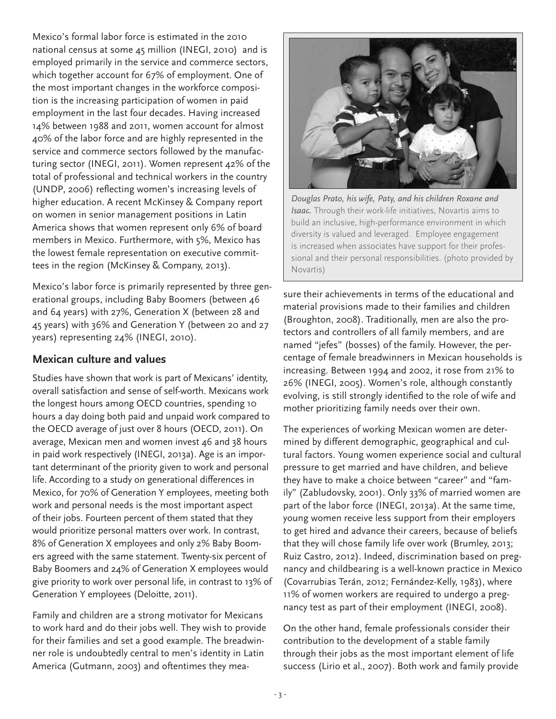Mexico's formal labor force is estimated in the 2010 national census at some 45 million (INEGI, 2010) and is employed primarily in the service and commerce sectors, which together account for 67% of employment. One of the most important changes in the workforce composition is the increasing participation of women in paid employment in the last four decades. Having increased 14% between 1988 and 2011, women account for almost 40% of the labor force and are highly represented in the service and commerce sectors followed by the manufacturing sector (INEGI, 2011). Women represent 42% of the total of professional and technical workers in the country (UNDP, 2006) reflecting women's increasing levels of higher education. A recent McKinsey & Company report on women in senior management positions in Latin America shows that women represent only 6% of board members in Mexico. Furthermore, with 5%, Mexico has the lowest female representation on executive committees in the region (McKinsey & Company, 2013).

Mexico's labor force is primarily represented by three generational groups, including Baby Boomers (between 46 and 64 years) with 27%, Generation X (between 28 and 45 years) with 36% and Generation Y (between 20 and 27 years) representing 24% (INEGI, 2010).

#### **Mexican culture and values**

Studies have shown that work is part of Mexicans' identity, overall satisfaction and sense of self-worth. Mexicans work the longest hours among OECD countries, spending 10 hours a day doing both paid and unpaid work compared to the OECD average of just over 8 hours (OECD, 2011). On average, Mexican men and women invest 46 and 38 hours in paid work respectively (INEGI, 2013a). Age is an important determinant of the priority given to work and personal life. According to a study on generational differences in Mexico, for 70% of Generation Y employees, meeting both work and personal needs is the most important aspect of their jobs. Fourteen percent of them stated that they would prioritize personal matters over work. In contrast, 8% of Generation X employees and only 2% Baby Boomers agreed with the same statement. Twenty-six percent of Baby Boomers and 24% of Generation X employees would give priority to work over personal life, in contrast to 13% of Generation Y employees (Deloitte, 2011).

Family and children are a strong motivator for Mexicans to work hard and do their jobs well. They wish to provide for their families and set a good example. The breadwinner role is undoubtedly central to men's identity in Latin America (Gutmann, 2003) and oftentimes they mea-



*Douglas Prato, his wife, Paty, and his children Roxane and Isaac.* Through their work-life initiatives, Novartis aims to build an inclusive, high-performance environment in which diversity is valued and leveraged. Employee engagement is increased when associates have support for their professional and their personal responsibilities. (photo provided by Novartis)

sure their achievements in terms of the educational and material provisions made to their families and children (Broughton, 2008). Traditionally, men are also the protectors and controllers of all family members, and are named "jefes" (bosses) of the family. However, the percentage of female breadwinners in Mexican households is increasing. Between 1994 and 2002, it rose from 21% to 26% (INEGI, 2005). Women's role, although constantly evolving, is still strongly identified to the role of wife and mother prioritizing family needs over their own.

The experiences of working Mexican women are determined by different demographic, geographical and cultural factors. Young women experience social and cultural pressure to get married and have children, and believe they have to make a choice between "career" and "family" (Zabludovsky, 2001). Only 33% of married women are part of the labor force (INEGI, 2013a). At the same time, young women receive less support from their employers to get hired and advance their careers, because of beliefs that they will chose family life over work (Brumley, 2013; Ruiz Castro, 2012). Indeed, discrimination based on pregnancy and childbearing is a well-known practice in Mexico (Covarrubias Terán, 2012; Fernández-Kelly, 1983), where 11% of women workers are required to undergo a pregnancy test as part of their employment (INEGI, 2008).

On the other hand, female professionals consider their contribution to the development of a stable family through their jobs as the most important element of life success (Lirio et al., 2007). Both work and family provide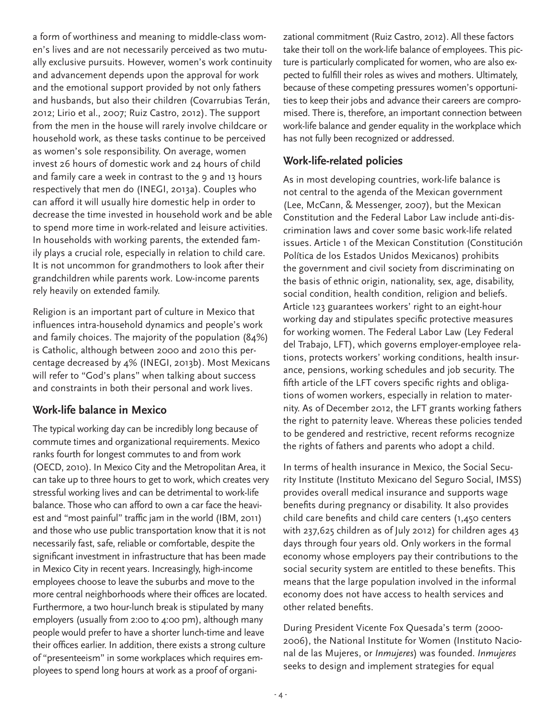a form of worthiness and meaning to middle-class women's lives and are not necessarily perceived as two mutually exclusive pursuits. However, women's work continuity and advancement depends upon the approval for work and the emotional support provided by not only fathers and husbands, but also their children (Covarrubias Terán, 2012; Lirio et al., 2007; Ruiz Castro, 2012). The support from the men in the house will rarely involve childcare or household work, as these tasks continue to be perceived as women's sole responsibility. On average, women invest 26 hours of domestic work and 24 hours of child and family care a week in contrast to the 9 and 13 hours respectively that men do (INEGI, 2013a). Couples who can afford it will usually hire domestic help in order to decrease the time invested in household work and be able to spend more time in work-related and leisure activities. In households with working parents, the extended family plays a crucial role, especially in relation to child care. It is not uncommon for grandmothers to look after their grandchildren while parents work. Low-income parents rely heavily on extended family.

Religion is an important part of culture in Mexico that influences intra-household dynamics and people's work and family choices. The majority of the population (84%) is Catholic, although between 2000 and 2010 this percentage decreased by 4% (INEGI, 2013b). Most Mexicans will refer to "God's plans" when talking about success and constraints in both their personal and work lives.

#### **Work-life balance in Mexico**

The typical working day can be incredibly long because of commute times and organizational requirements. Mexico ranks fourth for longest commutes to and from work (OECD, 2010). In Mexico City and the Metropolitan Area, it can take up to three hours to get to work, which creates very stressful working lives and can be detrimental to work-life balance. Those who can afford to own a car face the heaviest and "most painful" traffic jam in the world (IBM, 2011) and those who use public transportation know that it is not necessarily fast, safe, reliable or comfortable, despite the significant investment in infrastructure that has been made in Mexico City in recent years. Increasingly, high-income employees choose to leave the suburbs and move to the more central neighborhoods where their offices are located. Furthermore, a two hour-lunch break is stipulated by many employers (usually from 2:00 to 4:00 pm), although many people would prefer to have a shorter lunch-time and leave their offices earlier. In addition, there exists a strong culture of "presenteeism" in some workplaces which requires employees to spend long hours at work as a proof of organizational commitment (Ruiz Castro, 2012). All these factors take their toll on the work-life balance of employees. This picture is particularly complicated for women, who are also expected to fulfill their roles as wives and mothers. Ultimately, because of these competing pressures women's opportunities to keep their jobs and advance their careers are compromised. There is, therefore, an important connection between work-life balance and gender equality in the workplace which has not fully been recognized or addressed.

#### **Work-life-related policies**

As in most developing countries, work-life balance is not central to the agenda of the Mexican government (Lee, McCann, & Messenger, 2007), but the Mexican Constitution and the Federal Labor Law include anti-discrimination laws and cover some basic work-life related issues. Article 1 of the Mexican Constitution (Constitución Política de los Estados Unidos Mexicanos) prohibits the government and civil society from discriminating on the basis of ethnic origin, nationality, sex, age, disability, social condition, health condition, religion and beliefs. Article 123 guarantees workers' right to an eight-hour working day and stipulates specific protective measures for working women. The Federal Labor Law (Ley Federal del Trabajo, LFT), which governs employer-employee relations, protects workers' working conditions, health insurance, pensions, working schedules and job security. The fifth article of the LFT covers specific rights and obligations of women workers, especially in relation to maternity. As of December 2012, the LFT grants working fathers the right to paternity leave. Whereas these policies tended to be gendered and restrictive, recent reforms recognize the rights of fathers and parents who adopt a child.

In terms of health insurance in Mexico, the Social Security Institute (Instituto Mexicano del Seguro Social, IMSS) provides overall medical insurance and supports wage benefits during pregnancy or disability. It also provides child care benefits and child care centers (1,450 centers with 237,625 children as of July 2012) for children ages 43 days through four years old. Only workers in the formal economy whose employers pay their contributions to the social security system are entitled to these benefits. This means that the large population involved in the informal economy does not have access to health services and other related benefits.

During President Vicente Fox Quesada's term (2000- 2006), the National Institute for Women (Instituto Nacional de las Mujeres, or *Inmujeres*) was founded. *Inmujeres* seeks to design and implement strategies for equal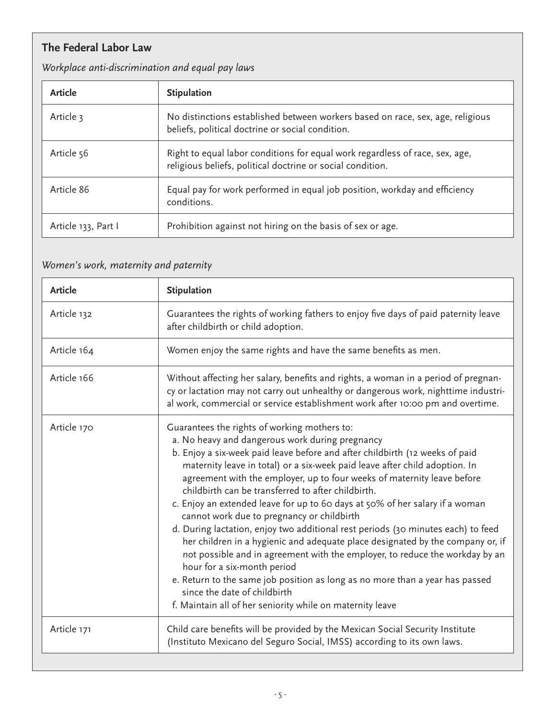### **The Federal Labor Law**

### *Workplace anti-discrimination and equal pay laws*

| Article             | <b>Stipulation</b>                                                                                                                         |
|---------------------|--------------------------------------------------------------------------------------------------------------------------------------------|
| Article 3           | No distinctions established between workers based on race, sex, age, religious<br>beliefs, political doctrine or social condition.         |
| Article 56          | Right to equal labor conditions for equal work regardless of race, sex, age,<br>religious beliefs, political doctrine or social condition. |
| Article 86          | Equal pay for work performed in equal job position, workday and efficiency<br>conditions.                                                  |
| Article 133, Part I | Prohibition against not hiring on the basis of sex or age.                                                                                 |

### *Women's work, maternity and paternity*

| <b>Article</b> | <b>Stipulation</b>                                                                                                                                                                                                                                                                                                                                                                                                                                                                                                                                                                                                                                                                                                                                                                                                                                                                                                                                                                              |
|----------------|-------------------------------------------------------------------------------------------------------------------------------------------------------------------------------------------------------------------------------------------------------------------------------------------------------------------------------------------------------------------------------------------------------------------------------------------------------------------------------------------------------------------------------------------------------------------------------------------------------------------------------------------------------------------------------------------------------------------------------------------------------------------------------------------------------------------------------------------------------------------------------------------------------------------------------------------------------------------------------------------------|
| Article 132    | Guarantees the rights of working fathers to enjoy five days of paid paternity leave<br>after childbirth or child adoption.                                                                                                                                                                                                                                                                                                                                                                                                                                                                                                                                                                                                                                                                                                                                                                                                                                                                      |
| Article 164    | Women enjoy the same rights and have the same benefits as men.                                                                                                                                                                                                                                                                                                                                                                                                                                                                                                                                                                                                                                                                                                                                                                                                                                                                                                                                  |
| Article 166    | Without affecting her salary, benefits and rights, a woman in a period of pregnan-<br>cy or lactation may not carry out unhealthy or dangerous work, nighttime industri-<br>al work, commercial or service establishment work after 10:00 pm and overtime.                                                                                                                                                                                                                                                                                                                                                                                                                                                                                                                                                                                                                                                                                                                                      |
| Article 170    | Guarantees the rights of working mothers to:<br>a. No heavy and dangerous work during pregnancy<br>b. Enjoy a six-week paid leave before and after childbirth (12 weeks of paid<br>maternity leave in total) or a six-week paid leave after child adoption. In<br>agreement with the employer, up to four weeks of maternity leave before<br>childbirth can be transferred to after childbirth.<br>c. Enjoy an extended leave for up to 60 days at 50% of her salary if a woman<br>cannot work due to pregnancy or childbirth<br>d. During lactation, enjoy two additional rest periods (30 minutes each) to feed<br>her children in a hygienic and adequate place designated by the company or, if<br>not possible and in agreement with the employer, to reduce the workday by an<br>hour for a six-month period<br>e. Return to the same job position as long as no more than a year has passed<br>since the date of childbirth<br>f. Maintain all of her seniority while on maternity leave |
| Article 171    | Child care benefits will be provided by the Mexican Social Security Institute<br>(Instituto Mexicano del Seguro Social, IMSS) according to its own laws.                                                                                                                                                                                                                                                                                                                                                                                                                                                                                                                                                                                                                                                                                                                                                                                                                                        |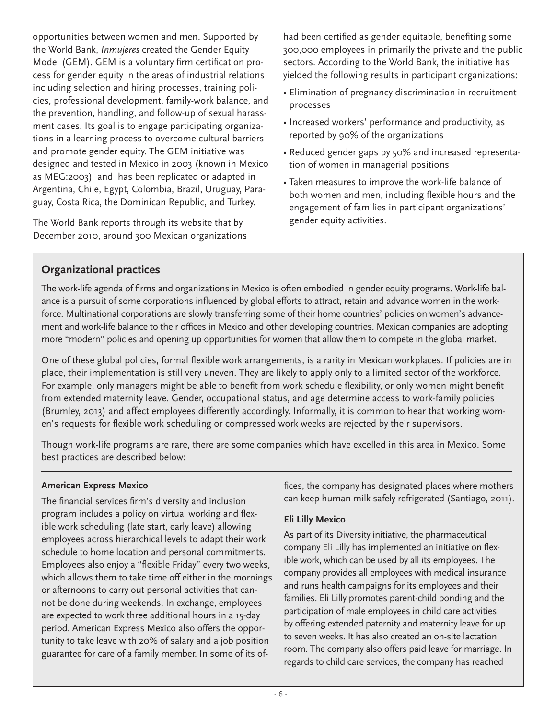opportunities between women and men. Supported by the World Bank, *Inmujeres* created the Gender Equity Model (GEM). GEM is a voluntary firm certification process for gender equity in the areas of industrial relations including selection and hiring processes, training policies, professional development, family-work balance, and the prevention, handling, and follow-up of sexual harassment cases. Its goal is to engage participating organizations in a learning process to overcome cultural barriers and promote gender equity. The GEM initiative was designed and tested in Mexico in 2003 (known in Mexico as MEG:2003) and has been replicated or adapted in Argentina, Chile, Egypt, Colombia, Brazil, Uruguay, Paraguay, Costa Rica, the Dominican Republic, and Turkey.

The World Bank reports through its website that by December 2010, around 300 Mexican organizations had been certified as gender equitable, benefiting some 300,000 employees in primarily the private and the public sectors. According to the World Bank, the initiative has yielded the following results in participant organizations:

- Elimination of pregnancy discrimination in recruitment processes
- Increased workers' performance and productivity, as reported by 90% of the organizations
- Reduced gender gaps by 50% and increased representation of women in managerial positions
- Taken measures to improve the work-life balance of both women and men, including flexible hours and the engagement of families in participant organizations' gender equity activities.

#### **Organizational practices**

The work-life agenda of firms and organizations in Mexico is often embodied in gender equity programs. Work-life balance is a pursuit of some corporations influenced by global efforts to attract, retain and advance women in the workforce. Multinational corporations are slowly transferring some of their home countries' policies on women's advancement and work-life balance to their offices in Mexico and other developing countries. Mexican companies are adopting more "modern" policies and opening up opportunities for women that allow them to compete in the global market.

One of these global policies, formal flexible work arrangements, is a rarity in Mexican workplaces. If policies are in place, their implementation is still very uneven. They are likely to apply only to a limited sector of the workforce. For example, only managers might be able to benefit from work schedule flexibility, or only women might benefit from extended maternity leave. Gender, occupational status, and age determine access to work-family policies (Brumley, 2013) and affect employees differently accordingly. Informally, it is common to hear that working women's requests for flexible work scheduling or compressed work weeks are rejected by their supervisors.

Though work-life programs are rare, there are some companies which have excelled in this area in Mexico. Some best practices are described below:

#### **American Express Mexico**

The financial services firm's diversity and inclusion program includes a policy on virtual working and flexible work scheduling (late start, early leave) allowing employees across hierarchical levels to adapt their work schedule to home location and personal commitments. Employees also enjoy a "flexible Friday" every two weeks, which allows them to take time off either in the mornings or afternoons to carry out personal activities that cannot be done during weekends. In exchange, employees are expected to work three additional hours in a 15-day period. American Express Mexico also offers the opportunity to take leave with 20% of salary and a job position guarantee for care of a family member. In some of its offices, the company has designated places where mothers can keep human milk safely refrigerated (Santiago, 2011).

#### **Eli Lilly Mexico**

As part of its Diversity initiative, the pharmaceutical company Eli Lilly has implemented an initiative on flexible work, which can be used by all its employees. The company provides all employees with medical insurance and runs health campaigns for its employees and their families. Eli Lilly promotes parent-child bonding and the participation of male employees in child care activities by offering extended paternity and maternity leave for up to seven weeks. It has also created an on-site lactation room. The company also offers paid leave for marriage. In regards to child care services, the company has reached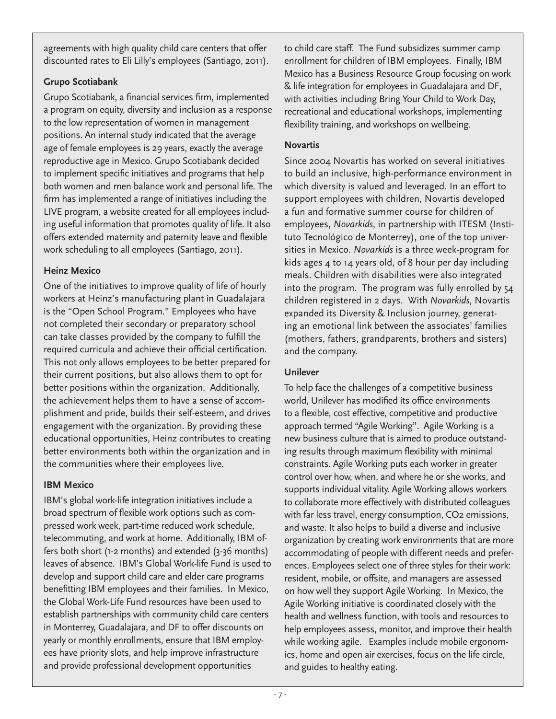agreements with high quality child care centers that offer discounted rates to Eli Lilly's employees (Santiago, 2011).

#### **Grupo Scotiabank**

Grupo Scotiabank, a financial services firm, implemented a program on equity, diversity and inclusion as a response to the low representation of women in management positions. An internal study indicated that the average age of female employees is 29 years, exactly the average reproductive age in Mexico. Grupo Scotiabank decided to implement specific initiatives and programs that help both women and men balance work and personal life. The firm has implemented a range of initiatives including the LIVE program, a website created for all employees including useful information that promotes quality of life. It also offers extended maternity and paternity leave and flexible work scheduling to all employees (Santiago, 2011).

#### **Heinz Mexico**

One of the initiatives to improve quality of life of hourly workers at Heinz's manufacturing plant in Guadalajara is the "Open School Program." Employees who have not completed their secondary or preparatory school can take classes provided by the company to fulfill the required curricula and achieve their official certification. This not only allows employees to be better prepared for their current positions, but also allows them to opt for better positions within the organization. Additionally, the achievement helps them to have a sense of accomplishment and pride, builds their self-esteem, and drives engagement with the organization. By providing these educational opportunities, Heinz contributes to creating better environments both within the organization and in the communities where their employees live.

#### **IBM Mexico**

IBM's global work-life integration initiatives include a broad spectrum of flexible work options such as compressed work week, part-time reduced work schedule, telecommuting, and work at home. Additionally, IBM offers both short (1-2 months) and extended (3-36 months) leaves of absence. IBM's Global Work-life Fund is used to develop and support child care and elder care programs benefitting IBM employees and their families. In Mexico, the Global Work-Life Fund resources have been used to establish partnerships with community child care centers in Monterrey, Guadalajara, and DF to offer discounts on yearly or monthly enrollments, ensure that IBM employees have priority slots, and help improve infrastructure and provide professional development opportunities

to child care staff. The Fund subsidizes summer camp enrollment for children of IBM employees. Finally, IBM Mexico has a Business Resource Group focusing on work & life integration for employees in Guadalajara and DF, with activities including Bring Your Child to Work Day, recreational and educational workshops, implementing flexibility training, and workshops on wellbeing.

#### **Novartis**

Since 2004 Novartis has worked on several initiatives to build an inclusive, high-performance environment in which diversity is valued and leveraged. In an effort to support employees with children, Novartis developed a fun and formative summer course for children of employees, *Novarkids*, in partnership with ITESM (Instituto Tecnológico de Monterrey), one of the top universities in Mexico. *Novarkids* is a three week-program for kids ages 4 to 14 years old, of 8 hour per day including meals. Children with disabilities were also integrated into the program. The program was fully enrolled by 54 children registered in 2 days. With *Novarkids*, Novartis expanded its Diversity & Inclusion journey, generating an emotional link between the associates' families (mothers, fathers, grandparents, brothers and sisters) and the company.

#### **Unilever**

To help face the challenges of a competitive business world, Unilever has modified its office environments to a flexible, cost effective, competitive and productive approach termed "Agile Working". Agile Working is a new business culture that is aimed to produce outstanding results through maximum flexibility with minimal constraints. Agile Working puts each worker in greater control over how, when, and where he or she works, and supports individual vitality. Agile Working allows workers to collaborate more effectively with distributed colleagues with far less travel, energy consumption, CO2 emissions, and waste. It also helps to build a diverse and inclusive organization by creating work environments that are more accommodating of people with different needs and preferences. Employees select one of three styles for their work: resident, mobile, or offsite, and managers are assessed on how well they support Agile Working. In Mexico, the Agile Working initiative is coordinated closely with the health and wellness function, with tools and resources to help employees assess, monitor, and improve their health while working agile. Examples include mobile ergonomics, home and open air exercises, focus on the life circle, and guides to healthy eating.